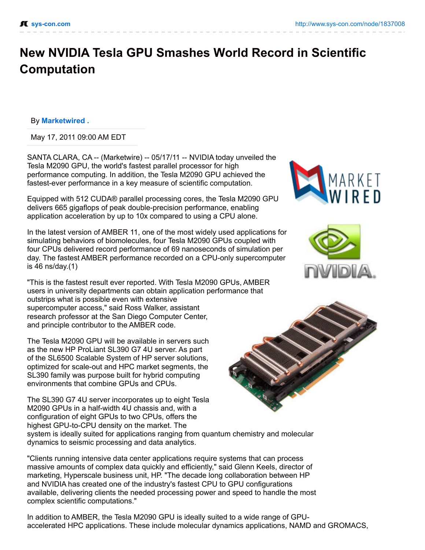## **New NVIDIA Tesla GPU Smashes World Record in Scientific Computation**

## By **[Marketwired](http://marketwired.sys-con.com/) .**

May 17, 2011 09:00 AM EDT

SANTA CLARA, CA -- (Marketwire) -- 05/17/11 -- NVIDIA today unveiled the Tesla M2090 GPU, the world's fastest parallel processor for high performance computing. In addition, the Tesla M2090 GPU achieved the fastest-ever performance in a key measure of scientific computation.

Equipped with 512 CUDA® parallel processing cores, the Tesla M2090 GPU delivers 665 gigaflops of peak double-precision performance, enabling application acceleration by up to 10x compared to using a CPU alone.

In the latest version of AMBER 11, one of the most widely used applications for simulating behaviors of biomolecules, four Tesla M2090 GPUs coupled with four CPUs delivered record performance of 69 nanoseconds of simulation per day. The fastest AMBER performance recorded on a CPU-only supercomputer is 46 ns/day.(1)

"This is the fastest result ever reported. With Tesla M2090 GPUs, AMBER users in university departments can obtain application performance that outstrips what is possible even with extensive supercomputer access," said Ross Walker, assistant research professor at the San Diego Computer Center, and principle contributor to the AMBER code.

The Tesla M2090 GPU will be available in servers such as the new HP ProLiant SL390 G7 4U server. As part of the SL6500 Scalable System of HP server solutions, optimized for scale-out and HPC market segments, the SL390 family was purpose built for hybrid computing environments that combine GPUs and CPUs.

The SL390 G7 4U server incorporates up to eight Tesla M2090 GPUs in a half-width 4U chassis and, with a configuration of eight GPUs to two CPUs, offers the highest GPU-to-CPU density on the market. The system is ideally suited for applications ranging from quantum chemistry and molecular dynamics to seismic processing and data analytics.

"Clients running intensive data center applications require systems that can process massive amounts of complex data quickly and efficiently," said Glenn Keels, director of marketing, Hyperscale business unit, HP. "The decade long collaboration between HP and NVIDIA has created one of the industry's fastest CPU to GPU configurations available, delivering clients the needed processing power and speed to handle the most complex scientific computations."

In addition to AMBER, the Tesla M2090 GPU is ideally suited to a wide range of GPUaccelerated HPC applications. These include molecular dynamics applications, NAMD and GROMACS,